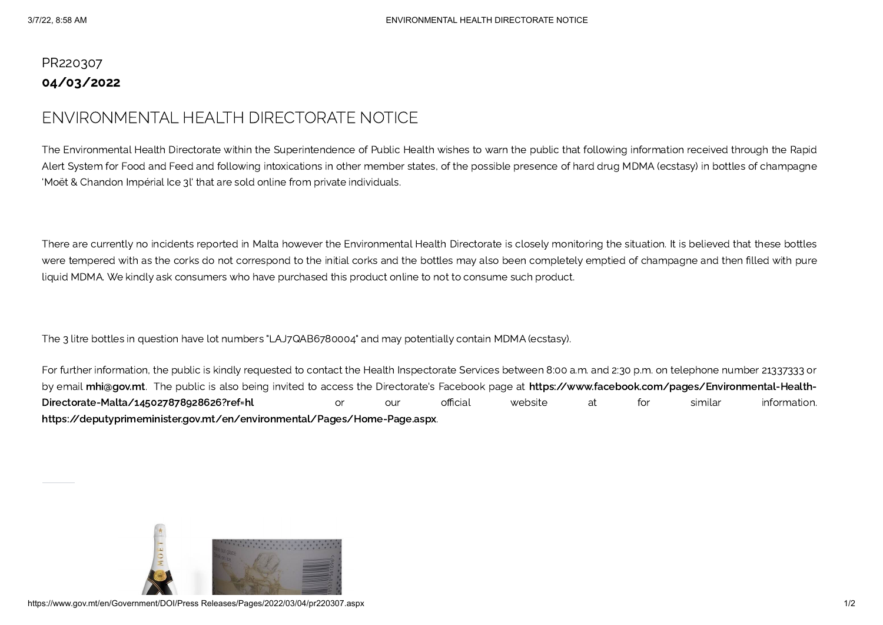## PR220307 04/03/2022

## ENVIRONMENTAL HEALTH DIRECTORATE NOTICE

The Environmental Health Directorate within the Superintendence of Public Health wishes to warn the public that following information received through the Rapid Alert System for Food and Feed and following intoxications in other member states, of the possible presence of hard drug MDMA (ecstasy) in bottles of champagne 'Moët & Chandon Impérial Ice 3l' that are sold online from private individuals.

There are currently no incidents reported in Malta however the Environmental Health Directorate is closely monitoring the situation. It is believed that these bottles were tempered with as the corks do not correspond to the initial corks and the bottles may also been completely emptied of champagne and then filled with pure liquid MDMA. We kindly ask consumers who have purchased this product online to not to consume such product.

The 3 litre bottles in question have lot numbers "LAJ7QAB6780004" and may potentially contain MDMA (ecstasy).

For further information, the public is kindly requested to contact the Health Inspectorate Services between 8:00 a.m. and 2:30 p.m. on telephone number 21337333 or by email [mhi@gov.mt.](mailto:mhi@gov.mt) The public is also being invited to access the Directorate's Facebook page at [https://www.facebook.com/pages/Environmental-Health-](https://www.facebook.com/pages/Environmental-Health-Directorate-Malta/145027878928626?ref=hl)Directorate-Malta/145027878928626?ref=hl or our official website at for similar information. <https://deputyprimeminister.gov.mt/en/environmental/Pages/Home-Page.aspx>.